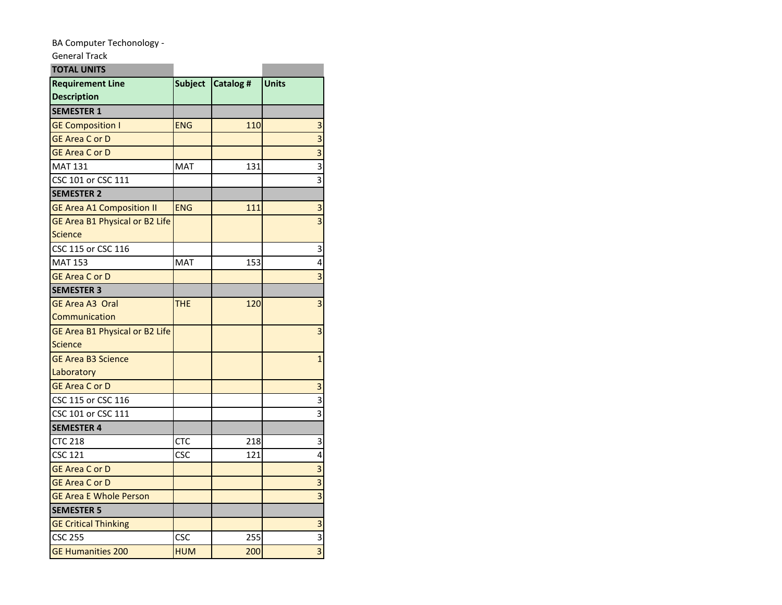## BA Computer Techonology -

## General Track **TOTAL UNITS**

| <b>TOTAL UNITS</b>                            |                |           |                         |
|-----------------------------------------------|----------------|-----------|-------------------------|
| <b>Requirement Line</b><br><b>Description</b> | <b>Subject</b> | Catalog # | Units                   |
| <b>SEMESTER 1</b>                             |                |           |                         |
| <b>GE Composition I</b>                       | <b>ENG</b>     | 110       | 3                       |
| <b>GE Area C or D</b>                         |                |           | $\overline{\mathbf{3}}$ |
| <b>GE Area C or D</b>                         |                |           | $\overline{\mathbf{3}}$ |
| <b>MAT 131</b>                                | <b>MAT</b>     | 131       | $\overline{\mathbf{3}}$ |
| CSC 101 or CSC 111                            |                |           | $\overline{3}$          |
| <b>SEMESTER 2</b>                             |                |           |                         |
| <b>GE Area A1 Composition II</b>              | <b>ENG</b>     | 111       | 3                       |
| GE Area B1 Physical or B2 Life                |                |           | $\overline{3}$          |
| <b>Science</b>                                |                |           |                         |
| CSC 115 or CSC 116                            |                |           | 3                       |
| <b>MAT 153</b>                                | <b>MAT</b>     | 153       | 4                       |
| <b>GE Area C or D</b>                         |                |           | $\overline{3}$          |
| <b>SEMESTER 3</b>                             |                |           |                         |
| <b>GE Area A3 Oral</b>                        | THE            | 120       | 3                       |
| Communication                                 |                |           |                         |
| GE Area B1 Physical or B2 Life                |                |           | 3                       |
| <b>Science</b>                                |                |           |                         |
| <b>GE Area B3 Science</b>                     |                |           | $\mathbf{1}$            |
| Laboratory                                    |                |           |                         |
| <b>GE Area C or D</b>                         |                |           | 3                       |
| CSC 115 or CSC 116                            |                |           | 3                       |
| CSC 101 or CSC 111                            |                |           | 3                       |
| <b>SEMESTER 4</b>                             |                |           |                         |
| <b>CTC 218</b>                                | CTC            | 218       | 3                       |
| <b>CSC 121</b>                                | <b>CSC</b>     | 121       | 4                       |
| <b>GE Area C or D</b>                         |                |           | $\overline{\mathbf{3}}$ |
| GE Area C or D                                |                |           | $\overline{3}$          |
| <b>GE Area E Whole Person</b>                 |                |           | $\overline{3}$          |
| <b>SEMESTER 5</b>                             |                |           |                         |
| <b>GE Critical Thinking</b>                   |                |           | 3                       |
| <b>CSC 255</b>                                | CSC            | 255       | $\overline{\mathbf{3}}$ |
| <b>GE Humanities 200</b>                      | <b>HUM</b>     | 200       | $\overline{\mathbf{3}}$ |